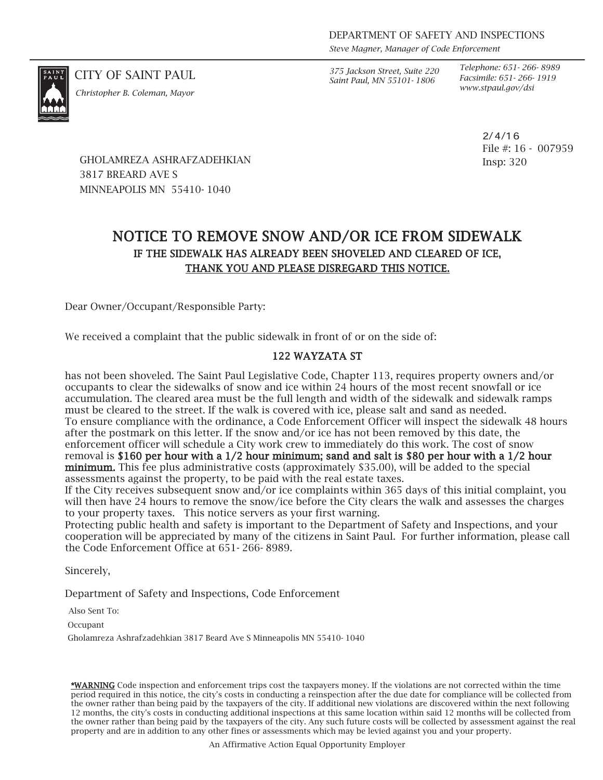*Steve Magner, Manager of Code Enforcement*

*www.stpaul.gov/dsi Christopher B. Coleman, Mayor*

CITY OF SAINT PAUL *375 Jackson Street, Suite 220 Saint Paul, MN 55101- 1806*

*Telephone: 651- 266- 8989 Facsimile: 651- 266- 1919*

> 2/4/16 File #: 16 - 007959 Insp: 320

GHOLAMREZA ASHRAFZADEHKIAN 3817 BREARD AVE S MINNEAPOLIS MN 55410- 1040

# NOTICE TO REMOVE SNOW AND/OR ICE FROM SIDEWALK IF THE SIDEWALK HAS ALREADY BEEN SHOVELED AND CLEARED OF ICE, THANK YOU AND PLEASE DISREGARD THIS NOTICE.

Dear Owner/Occupant/Responsible Party:

We received a complaint that the public sidewalk in front of or on the side of:

### 122 WAYZATA ST

has not been shoveled. The Saint Paul Legislative Code, Chapter 113, requires property owners and/or occupants to clear the sidewalks of snow and ice within 24 hours of the most recent snowfall or ice accumulation. The cleared area must be the full length and width of the sidewalk and sidewalk ramps must be cleared to the street. If the walk is covered with ice, please salt and sand as needed. To ensure compliance with the ordinance, a Code Enforcement Officer will inspect the sidewalk 48 hours after the postmark on this letter. If the snow and/or ice has not been removed by this date, the enforcement officer will schedule a City work crew to immediately do this work. The cost of snow removal is \$160 per hour with a 1/2 hour minimum; sand and salt is \$80 per hour with a 1/2 hour minimum. This fee plus administrative costs (approximately \$35.00), will be added to the special assessments against the property, to be paid with the real estate taxes.

If the City receives subsequent snow and/or ice complaints within 365 days of this initial complaint, you will then have 24 hours to remove the snow/ice before the City clears the walk and assesses the charges to your property taxes. This notice servers as your first warning.

Protecting public health and safety is important to the Department of Safety and Inspections, and your cooperation will be appreciated by many of the citizens in Saint Paul. For further information, please call the Code Enforcement Office at 651- 266- 8989.

Sincerely,

Department of Safety and Inspections, Code Enforcement

Also Sent To:

**Occupant** 

Gholamreza Ashrafzadehkian 3817 Beard Ave S Minneapolis MN 55410- 1040

\*WARNING Code inspection and enforcement trips cost the taxpayers money. If the violations are not corrected within the time period required in this notice, the city's costs in conducting a reinspection after the due date for compliance will be collected from the owner rather than being paid by the taxpayers of the city. If additional new violations are discovered within the next following 12 months, the city's costs in conducting additional inspections at this same location within said 12 months will be collected from the owner rather than being paid by the taxpayers of the city. Any such future costs will be collected by assessment against the real property and are in addition to any other fines or assessments which may be levied against you and your property.

An Affirmative Action Equal Opportunity Employer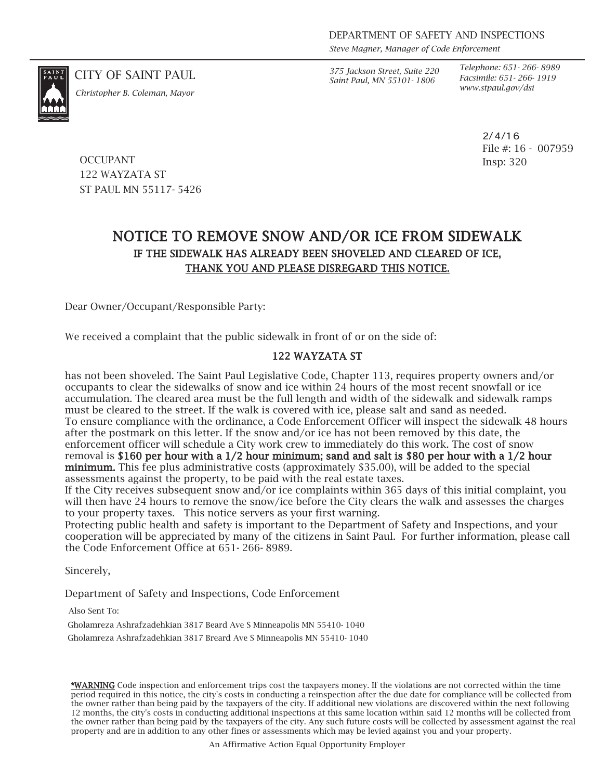*Steve Magner, Manager of Code Enforcement*

*www.stpaul.gov/dsi Christopher B. Coleman, Mayor*

CITY OF SAINT PAUL *375 Jackson Street, Suite 220 Saint Paul, MN 55101- 1806*

*Telephone: 651- 266- 8989 Facsimile: 651- 266- 1919*

> 2/4/16 File #: 16 - 007959 Insp: 320

**OCCUPANT** 122 WAYZATA ST ST PAUL MN 55117- 5426

## NOTICE TO REMOVE SNOW AND/OR ICE FROM SIDEWALK IF THE SIDEWALK HAS ALREADY BEEN SHOVELED AND CLEARED OF ICE, THANK YOU AND PLEASE DISREGARD THIS NOTICE.

Dear Owner/Occupant/Responsible Party:

We received a complaint that the public sidewalk in front of or on the side of:

### 122 WAYZATA ST

has not been shoveled. The Saint Paul Legislative Code, Chapter 113, requires property owners and/or occupants to clear the sidewalks of snow and ice within 24 hours of the most recent snowfall or ice accumulation. The cleared area must be the full length and width of the sidewalk and sidewalk ramps must be cleared to the street. If the walk is covered with ice, please salt and sand as needed. To ensure compliance with the ordinance, a Code Enforcement Officer will inspect the sidewalk 48 hours after the postmark on this letter. If the snow and/or ice has not been removed by this date, the enforcement officer will schedule a City work crew to immediately do this work. The cost of snow removal is \$160 per hour with a 1/2 hour minimum; sand and salt is \$80 per hour with a 1/2 hour minimum. This fee plus administrative costs (approximately \$35.00), will be added to the special assessments against the property, to be paid with the real estate taxes.

If the City receives subsequent snow and/or ice complaints within 365 days of this initial complaint, you will then have 24 hours to remove the snow/ice before the City clears the walk and assesses the charges to your property taxes. This notice servers as your first warning.

Protecting public health and safety is important to the Department of Safety and Inspections, and your cooperation will be appreciated by many of the citizens in Saint Paul. For further information, please call the Code Enforcement Office at 651- 266- 8989.

Sincerely,

Department of Safety and Inspections, Code Enforcement

Also Sent To:

Gholamreza Ashrafzadehkian 3817 Beard Ave S Minneapolis MN 55410- 1040

Gholamreza Ashrafzadehkian 3817 Breard Ave S Minneapolis MN 55410- 1040

\*WARNING Code inspection and enforcement trips cost the taxpayers money. If the violations are not corrected within the time period required in this notice, the city's costs in conducting a reinspection after the due date for compliance will be collected from the owner rather than being paid by the taxpayers of the city. If additional new violations are discovered within the next following 12 months, the city's costs in conducting additional inspections at this same location within said 12 months will be collected from the owner rather than being paid by the taxpayers of the city. Any such future costs will be collected by assessment against the real property and are in addition to any other fines or assessments which may be levied against you and your property.

An Affirmative Action Equal Opportunity Employer